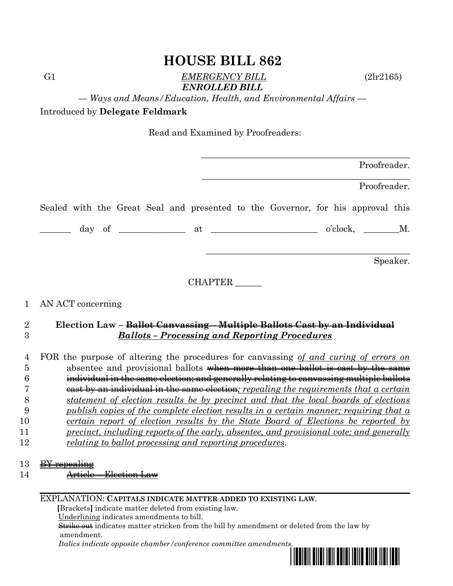G1 *EMERGENCY BILL* (2lr2165) *ENROLLED BILL*

*— Ways and Means/Education, Health, and Environmental Affairs —*

Introduced by **Delegate Feldmark**

Read and Examined by Proofreaders:

| Proofreader.                                                                    |  |  |  |
|---------------------------------------------------------------------------------|--|--|--|
| Proofreader.                                                                    |  |  |  |
| Sealed with the Great Seal and presented to the Governor, for his approval this |  |  |  |
| $o'clock, \t M.$                                                                |  |  |  |
| Speaker.                                                                        |  |  |  |
| CHAPTER                                                                         |  |  |  |

#### 1 AN ACT concerning

#### 2 **Election Law – Ballot Canvassing – Multiple Ballots Cast by an Individual** 3 *Ballots – Processing and Reporting Procedures*

 FOR the purpose of altering the procedures for canvassing *of and curing of errors on* 5 absentee and provisional ballots when more than one ballot is cast by the same individual in the same election; and generally relating to canvassing multiple ballots cast by an individual in the same election*; repealing the requirements that a certain statement of election results be by precinct and that the local boards of elections publish copies of the complete election results in a certain manner; requiring that a certain report of election results by the State Board of Elections be reported by precinct, including reports of the early, absentee, and provisional vote; and generally relating to ballot processing and reporting procedures*.

13 BY repealing

14 **Article – Election Law** 

#### EXPLANATION: **CAPITALS INDICATE MATTER ADDED TO EXISTING LAW**.

 **[**Brackets**]** indicate matter deleted from existing law.

Underlining indicates amendments to bill.

 Strike out indicates matter stricken from the bill by amendment or deleted from the law by amendment.

 *Italics indicate opposite chamber/conference committee amendments.*

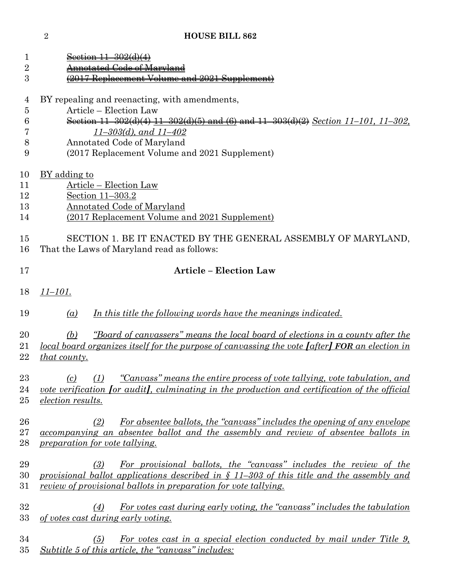| 1<br>$\overline{2}$        | <del>nnotated Code of Maryland</del>                                                                                                                                                                                                                                                         |  |  |  |  |  |
|----------------------------|----------------------------------------------------------------------------------------------------------------------------------------------------------------------------------------------------------------------------------------------------------------------------------------------|--|--|--|--|--|
| 3                          | 2017 Replacement Volume and 2021 Supplement)                                                                                                                                                                                                                                                 |  |  |  |  |  |
| 4<br>5<br>6<br>7<br>8<br>9 | BY repealing and reenacting, with amendments,<br>Article - Election Law<br>Section 11-302(d)(4) $\underline{11-302(d)(5)}$ and (6) and 11-303(d)(2) Section 11-101, 11-302,<br>$11 - 303(d)$ , and $11 - 402$<br>Annotated Code of Maryland<br>(2017 Replacement Volume and 2021 Supplement) |  |  |  |  |  |
| 10<br>11<br>12<br>13<br>14 | <u>BY</u> adding to<br>Article – Election Law<br>Section 11-303.2<br><b>Annotated Code of Maryland</b><br>(2017 Replacement Volume and 2021 Supplement)                                                                                                                                      |  |  |  |  |  |
| 15<br>16                   | SECTION 1. BE IT ENACTED BY THE GENERAL ASSEMBLY OF MARYLAND,<br>That the Laws of Maryland read as follows:                                                                                                                                                                                  |  |  |  |  |  |
| 17                         | <b>Article - Election Law</b>                                                                                                                                                                                                                                                                |  |  |  |  |  |
| 18                         | $11 - 101.$                                                                                                                                                                                                                                                                                  |  |  |  |  |  |
| 19                         | In this title the following words have the meanings indicated.<br>$\left( a\right)$                                                                                                                                                                                                          |  |  |  |  |  |
| 20<br>21<br>22             | <u>"Board of canvassers" means the local board of elections in a county after the</u><br>(b)<br>local board organizes itself for the purpose of canvassing the vote $[after]$ FOR an election in<br><i>that county.</i>                                                                      |  |  |  |  |  |
| 23<br>24<br>25             | "Canvass" means the entire process of vote tallying, vote tabulation, and<br>(1)<br>(c)<br><u>vote verification</u> for audit, culminating in the production and certification of the official<br><i>election results.</i>                                                                   |  |  |  |  |  |
| 26<br>27<br>28             | For absentee ballots, the "canvass" includes the opening of any envelope<br>(2)<br>accompanying an absentee ballot and the assembly and review of absentee ballots in<br>preparation for vote tallying.                                                                                      |  |  |  |  |  |
| 29<br>30<br>31             | For provisional ballots, the "canvass" includes the review of the<br>(3)<br>provisional ballot applications described in $\S$ 11-303 of this title and the assembly and<br>review of provisional ballots in preparation for vote tallying.                                                   |  |  |  |  |  |
| 32<br>33                   | For votes cast during early voting, the "canvass" includes the tabulation<br>(4)<br>of votes cast during early voting.                                                                                                                                                                       |  |  |  |  |  |
| 34<br>35                   | For votes cast in a special election conducted by mail under Title 9.<br>(5)<br>Subtitle 5 of this article, the "canvass" includes:                                                                                                                                                          |  |  |  |  |  |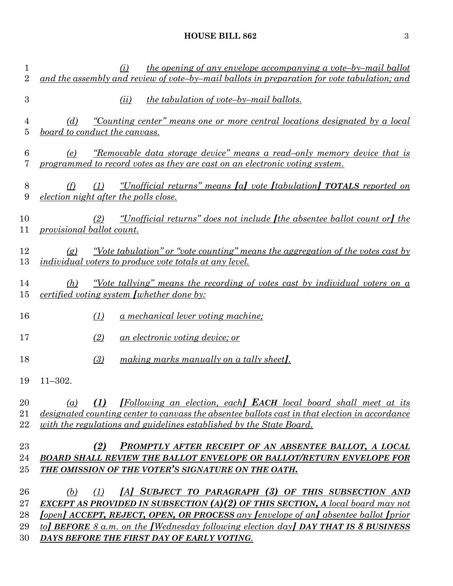| the opening of any envelope accompanying a vote-by-mail ballot<br>(i)<br>and the assembly and review of vote-by-mail ballots in preparation for vote tabulation; and                                                                                                                                                                                                                        |
|---------------------------------------------------------------------------------------------------------------------------------------------------------------------------------------------------------------------------------------------------------------------------------------------------------------------------------------------------------------------------------------------|
| <i>the tabulation of vote-by-mail ballots.</i><br>(ii)                                                                                                                                                                                                                                                                                                                                      |
| <u>"Counting center" means one or more central locations designated by a local</u><br>(d)<br>board to conduct the canvass.                                                                                                                                                                                                                                                                  |
| <u>"Removable data storage device" means a read-only memory device that is</u><br>(e)<br>programmed to record votes as they are cast on an electronic voting system.                                                                                                                                                                                                                        |
| <u>"Unofficial returns" means [a] vote [tabulation] TOTALS reported on</u><br>(f)<br>(1)<br>election night after the polls close.                                                                                                                                                                                                                                                           |
| <u>"Unofficial returns" does not include [the absentee ballot count or] the</u><br>(2)<br>provisional ballot count.                                                                                                                                                                                                                                                                         |
| <u>"Vote tabulation" or "vote counting" means the aggregation of the votes cast by</u><br>(g)<br><i>individual voters to produce vote totals at any level.</i>                                                                                                                                                                                                                              |
| <u>"Vote tallying" means the recording of votes cast by individual voters on a</u><br>(h)<br><i>certified voting system [whether done by:</i>                                                                                                                                                                                                                                               |
| <u>a mechanical lever voting machine;</u><br>(1)                                                                                                                                                                                                                                                                                                                                            |
| (2)<br><u>an electronic voting device; or</u>                                                                                                                                                                                                                                                                                                                                               |
| (3)<br>making marks manually on a tally sheet.                                                                                                                                                                                                                                                                                                                                              |
| $11 - 302.$                                                                                                                                                                                                                                                                                                                                                                                 |
| <b>[Following an election, each] EACH local board shall meet at its</b><br>(1)<br>$\left( a\right)$<br><u>designated counting center to canvass the absentee ballots cast in that election in accordance</u><br>with the regulations and guidelines established by the State Board.                                                                                                         |
| PROMPTLY AFTER RECEIPT OF AN ABSENTEE BALLOT, A LOCAL<br>(2)<br>BOARD SHALL REVIEW THE BALLOT ENVELOPE OR BALLOT/RETURN ENVELOPE FOR<br>THE OMISSION OF THE VOTER'S SIGNATURE ON THE OATH.                                                                                                                                                                                                  |
| [A] SUBJECT TO PARAGRAPH (3) OF THIS SUBSECTION AND<br>(b)<br>(1)<br><b>EXCEPT AS PROVIDED IN SUBSECTION (A)(2) OF THIS SECTION, A local board may not</b><br><u>[open] ACCEPT, REJECT, OPEN, OR PROCESS any [envelope of an] absentee ballot [prior</u><br>to BEFORE 8 a.m. on the [Wednesday following election day] DAY THAT IS 8 BUSINESS<br>DAYS BEFORE THE FIRST DAY OF EARLY VOTING. |
|                                                                                                                                                                                                                                                                                                                                                                                             |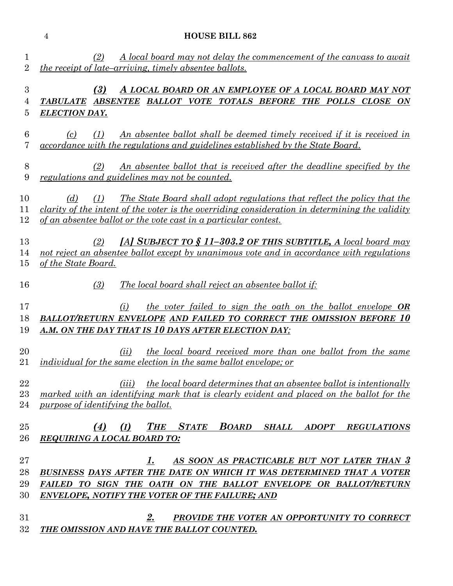|                                | <b>HOUSE BILL 862</b><br>$\overline{4}$                                                                                                                                                                                                                                   |
|--------------------------------|---------------------------------------------------------------------------------------------------------------------------------------------------------------------------------------------------------------------------------------------------------------------------|
| $\mathbf{1}$<br>$\overline{2}$ | (2)<br>A local board may not delay the commencement of the canvass to await<br><i>the receipt of late–arriving, timely absentee ballots.</i>                                                                                                                              |
| 3<br>4<br>5                    | (3)<br>A LOCAL BOARD OR AN EMPLOYEE OF A LOCAL BOARD MAY NOT<br>ABSENTEE BALLOT VOTE TOTALS BEFORE THE POLLS CLOSE ON<br><i><b>TABULATE</b></i><br><b>ELECTION DAY.</b>                                                                                                   |
| 6<br>7                         | <u>An absentee ballot shall be deemed timely received if it is received in</u><br>(c)<br>(1)<br>accordance with the regulations and guidelines established by the State Board.                                                                                            |
| 8<br>9                         | (2)<br><u>An absentee ballot that is received after the deadline specified by the</u><br>regulations and guidelines may not be counted.                                                                                                                                   |
| 10<br>11<br>12                 | <u>The State Board shall adopt regulations that reflect the policy that the</u><br>(1)<br>(d)<br>clarity of the intent of the voter is the overriding consideration in determining the validity<br><u>of an absentee ballot or the vote cast in a particular contest.</u> |
| 13<br>14<br>15                 | [A] SUBJECT TO $$11-303.2$ OF THIS SUBTITLE, A local board may<br>(2)<br>not reject an absentee ballot except by unanimous vote and in accordance with regulations<br>of the State Board.                                                                                 |
| 16                             | The local board shall reject an absentee ballot if:<br>(3)                                                                                                                                                                                                                |
| 17<br>18<br>19                 | the voter failed to sign the oath on the ballot envelope OR<br>(i)<br><b>BALLOT/RETURN ENVELOPE AND FAILED TO CORRECT THE OMISSION BEFORE 10</b><br>A.M. ON THE DAY THAT IS 10 DAYS AFTER ELECTION DAY;                                                                   |
| 20<br>21                       | <i>the local board received more than one ballot from the same</i><br>(ii)<br>individual for the same election in the same ballot envelope; or                                                                                                                            |
| 22<br>23<br>24                 | <i>the local board determines that an absentee ballot is intentionally</i><br>(iii)<br>marked with an identifying mark that is clearly evident and placed on the ballot for the<br>purpose of identifying the ballot.                                                     |
| 25<br>26                       | <b>THE</b><br><b>STATE</b><br><b>BOARD</b><br>(4)<br><b>SHALL</b><br><b>ADOPT</b><br>(I)<br><b>REGULATIONS</b><br><b>REQUIRING A LOCAL BOARD TO:</b>                                                                                                                      |
| 27<br>28<br>29<br>30           | AS SOON AS PRACTICABLE BUT NOT LATER THAN 3<br>1.<br>BUSINESS DAYS AFTER THE DATE ON WHICH IT WAS DETERMINED THAT A VOTER<br>FAILED TO SIGN THE OATH ON THE BALLOT ENVELOPE OR BALLOT/RETURN<br><b>ENVELOPE, NOTIFY THE VOTER OF THE FAILURE; AND</b>                     |
| 31<br>32                       | 2.<br>PROVIDE THE VOTER AN OPPORTUNITY TO CORRECT<br>THE OMISSION AND HAVE THE BALLOT COUNTED.                                                                                                                                                                            |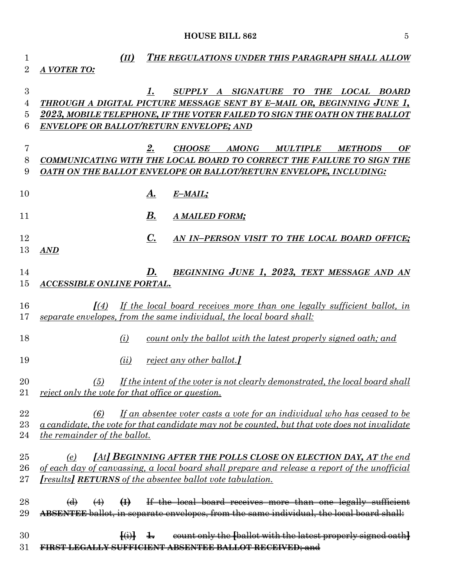| 1              | (II)                                              |                   | THE REGULATIONS UNDER THIS PARAGRAPH SHALL ALLOW                                                      |
|----------------|---------------------------------------------------|-------------------|-------------------------------------------------------------------------------------------------------|
| $\overline{2}$ | A VOTER TO:                                       |                   |                                                                                                       |
|                |                                                   |                   |                                                                                                       |
| 3              |                                                   |                   | SUPPLY A SIGNATURE TO<br>THE LOCAL BOARD<br>$\mathbf{I}$ .                                            |
| 4              |                                                   |                   | THROUGH A DIGITAL PICTURE MESSAGE SENT BY E-MAIL OR, BEGINNING JUNE 1,                                |
| $\overline{5}$ |                                                   |                   | 2023, MOBILE TELEPHONE, IF THE VOTER FAILED TO SIGN THE OATH ON THE BALLOT                            |
| 6              |                                                   |                   | <b>ENVELOPE OR BALLOT/RETURN ENVELOPE; AND</b>                                                        |
| 7              |                                                   |                   | 2.<br><b>CHOOSE</b><br><b>AMONG</b><br><b>MULTIPLE</b><br><b>METHODS</b><br>OF                        |
| 8              |                                                   |                   | COMMUNICATING WITH THE LOCAL BOARD TO CORRECT THE FAILURE TO SIGN THE                                 |
| 9              |                                                   |                   | OATH ON THE BALLOT ENVELOPE OR BALLOT/RETURN ENVELOPE, INCLUDING:                                     |
|                |                                                   |                   |                                                                                                       |
| 10             |                                                   |                   | А.<br>E-MAIL;                                                                                         |
|                |                                                   |                   |                                                                                                       |
| 11             |                                                   |                   | В.<br>A MAILED FORM;                                                                                  |
|                |                                                   |                   |                                                                                                       |
| 12             |                                                   |                   | $\mathbf{C}$ .<br>AN IN-PERSON VISIT TO THE LOCAL BOARD OFFICE;                                       |
| 13             | <b>AND</b>                                        |                   |                                                                                                       |
| 14             |                                                   |                   | BEGINNING JUNE 1, 2023, TEXT MESSAGE AND AN<br>D.                                                     |
| 15             | ACCESSIBLE ONLINE PORTAL.                         |                   |                                                                                                       |
|                |                                                   |                   |                                                                                                       |
| 16             | $\mathcal{I}(4)$                                  |                   | If the local board receives more than one legally sufficient ballot, in                               |
| 17             |                                                   |                   | separate envelopes, from the same individual, the local board shall:                                  |
|                |                                                   |                   |                                                                                                       |
| 18             | (i)                                               |                   | count only the ballot with the latest properly signed oath; and                                       |
|                |                                                   |                   |                                                                                                       |
| 19             | (ii)                                              |                   | <u>reject any other ballot.</u>                                                                       |
| 20             |                                                   |                   | (5) If the intent of the voter is not clearly demonstrated, the local board shall                     |
| $21\,$         | reject only the vote for that office or question. |                   |                                                                                                       |
|                |                                                   |                   |                                                                                                       |
| 22             | (6)                                               |                   | If an absentee voter casts a vote for an individual who has ceased to be                              |
| $23\,$         |                                                   |                   | <u>a candidate, the vote for that candidate may not be counted, but that vote does not invalidate</u> |
| 24             | <i>the remainder of the ballot.</i>               |                   |                                                                                                       |
| 25             | (e)                                               |                   | [At] BEGINNING AFTER THE POLLS CLOSE ON ELECTION DAY, AT the end                                      |
| 26             |                                                   |                   | of each day of canvassing, a local board shall prepare and release a report of the unofficial         |
| $27\,$         |                                                   |                   | <i>[results]</i> <b>RETURNS</b> of the absentee ballot vote tabulation.                               |
|                |                                                   |                   |                                                                                                       |
| 28             | $\Theta$<br>$\bigoplus$                           |                   | If the local board receives more than one legally sufficient                                          |
| 29             |                                                   |                   | ABSENTEE ballot, in separate envelopes, from the same individual, the local board shall:              |
|                |                                                   |                   |                                                                                                       |
| 30             |                                                   | $\overline{f(i)}$ | count only the [ballot with the latest properly signed oath]<br>$\ddagger$                            |
| 31             |                                                   |                   | <b>SUFFICIENT ABSENTEE BALLOT RECEIVED; and</b>                                                       |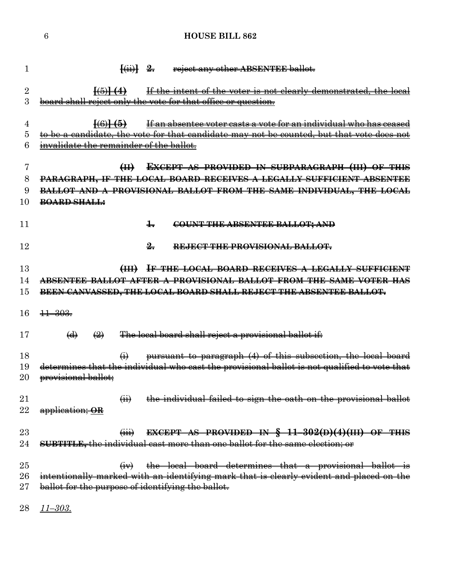| 1               | reject any other ABSENTEE ballot.<br>$\{\ddot{m}\}$ 2.                                                          |
|-----------------|-----------------------------------------------------------------------------------------------------------------|
| $\overline{2}$  | If the intent of the voter is not clearly demonstrated, the local<br>$\frac{1}{(5)}$ $(4)$                      |
| 3               | board shall reject only the vote for that office or question.                                                   |
|                 |                                                                                                                 |
| 4               | If an absentee voter casts a vote for an individual who has ceased<br>$\frac{1}{6}$                             |
| 5               | to be a candidate, the vote for that candidate may not be counted, but that vote does not                       |
| 6               | invalidate the remainder of the ballot.                                                                         |
| 7               | <b>EXCEPT AS PROVIDED IN SUBPARAGRAPH (III) OF THIS</b><br>H                                                    |
| 8               | <b>PARAGRAPH, IF THE LOCAL BOARD RECEIVES A LEGALLY SUFFICIENT ABSENTEE</b>                                     |
| 9               | BALLOT AND A PROVISIONAL BALLOT FROM THE SAME INDIVIDUAL, THE LOCAL                                             |
| 10              | <b>BOARD SHALL:</b>                                                                                             |
|                 |                                                                                                                 |
| 11              | $\pm$<br>COUNT THE ABSENTEE BALLOT; AND                                                                         |
| 12              | $\frac{9}{2}$                                                                                                   |
|                 | REJECT THE PROVISIONAL BALLOT.                                                                                  |
| 13              | IF THE LOCAL BOARD RECEIVES A LEGALLY SUFFICIENT<br>$H_{\text{H}}$                                              |
| 14              | ABSENTEE BALLOT AFTER A PROVISIONAL BALLOT FROM THE SAME VOTER HAS                                              |
| 15              | BEEN CANVASSED, THE LOCAL BOARD SHALL REJECT THE ABSENTEE BALLOT.                                               |
|                 |                                                                                                                 |
| 16              | $\frac{11 - 303}{5}$                                                                                            |
| 17              | The local board shall reject a provisional ballot if:<br>$\Theta$<br>$\left(\frac{2}{2}\right)$                 |
| 18              | pursuant to paragraph (4) of this subsection, the local board<br>$\Theta$                                       |
| 19              | determines that the individual who cast the provisional ballot is not qualified to vote that                    |
| $20\,$          | provisional ballot:                                                                                             |
| $\overline{21}$ |                                                                                                                 |
| 22              | $\overleftrightarrow{H}$<br>the individual failed to sign the oath on the provisional ballot<br>application; OR |
|                 |                                                                                                                 |
| $23\,$          | <b>EXCEPT AS PROVIDED IN <math>\frac{11-302(D)(4)(III)}{11}</math> OF THIS</b><br>$\overline{(\mathbf{iii})}$   |
| 24              | SUBTITLE, the individual cast more than one ballot for the same election; or                                    |
|                 |                                                                                                                 |
| $25\,$          | $(iv)$ the local board determines that a provisional ballot is                                                  |
| $26\,$          | intentionally marked with an identifying mark that is clearly evident and placed on the                         |
| 27              | ballot for the purpose of identifying the ballot.                                                               |
| 28              | <u>11–303.</u>                                                                                                  |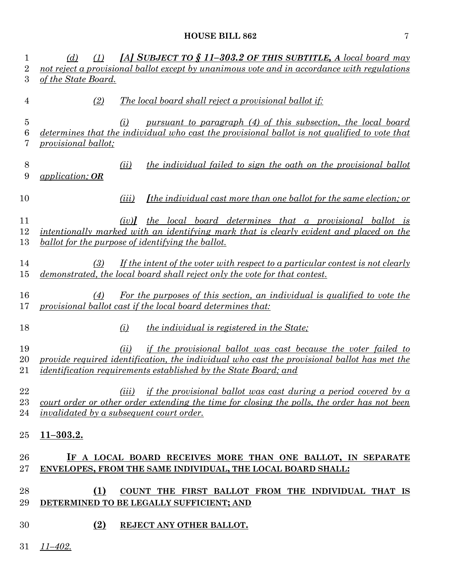| 1<br>$\overline{2}$ | [A] SUBJECT TO $\S$ 11-303.2 OF THIS SUBTITLE, A local board may<br>(d)<br>(1)<br>not reject a provisional ballot except by unanimous vote and in accordance with regulations                                                                   |
|---------------------|-------------------------------------------------------------------------------------------------------------------------------------------------------------------------------------------------------------------------------------------------|
| 3                   | of the State Board.                                                                                                                                                                                                                             |
| 4                   | <i>The local board shall reject a provisional ballot if:</i><br>(2)                                                                                                                                                                             |
| 5<br>6<br>7         | pursuant to paragraph (4) of this subsection, the local board<br>(i)<br>determines that the individual who cast the provisional ballot is not qualified to vote that<br><i><u>provisional ballot;</u></i>                                       |
| 8<br>9              | the individual failed to sign the oath on the provisional ballot<br>(ii)<br>application; OR                                                                                                                                                     |
| 10                  | <i><u>Ithe individual cast more than one ballot for the same election; or</u></i><br>( <i>iii</i> )                                                                                                                                             |
| 11<br>12<br>13      | (iv)] the local board determines that a provisional ballot is<br>intentionally marked with an identifying mark that is clearly evident and placed on the<br><u>ballot for the purpose of identifying the ballot.</u>                            |
| 14<br>15            | If the intent of the voter with respect to a particular contest is not clearly<br>(3)<br>demonstrated, the local board shall reject only the vote for that contest.                                                                             |
| 16<br>17            | For the purposes of this section, an individual is qualified to vote the<br>(4)<br>provisional ballot cast if the local board determines that:                                                                                                  |
| 18                  | (i)<br><u>the individual is registered in the State</u> ;                                                                                                                                                                                       |
| 19<br>20<br>21      | if the provisional ballot was cast because the voter failed to<br>(ii)<br>provide required identification, the individual who cast the provisional ballot has met the<br><i>identification requirements established by the State Board; and</i> |
| 22<br>23<br>24      | if the provisional ballot was cast during a period covered by a<br>(iii)<br>court order or other order extending the time for closing the polls, the order has not been<br><i>invalidated by a subsequent court order.</i>                      |
| 25                  | <u>11–303.2.</u>                                                                                                                                                                                                                                |
| 26<br>27            | IF A LOCAL BOARD RECEIVES MORE THAN ONE BALLOT, IN SEPARATE<br>ENVELOPES, FROM THE SAME INDIVIDUAL, THE LOCAL BOARD SHALL:                                                                                                                      |
| 28<br>29            | <b>(1)</b><br>COUNT THE FIRST BALLOT FROM THE INDIVIDUAL THAT IS<br>DETERMINED TO BE LEGALLY SUFFICIENT; AND                                                                                                                                    |
| 30                  | (2)<br>REJECT ANY OTHER BALLOT.                                                                                                                                                                                                                 |
| 31                  | $11 - 402.$                                                                                                                                                                                                                                     |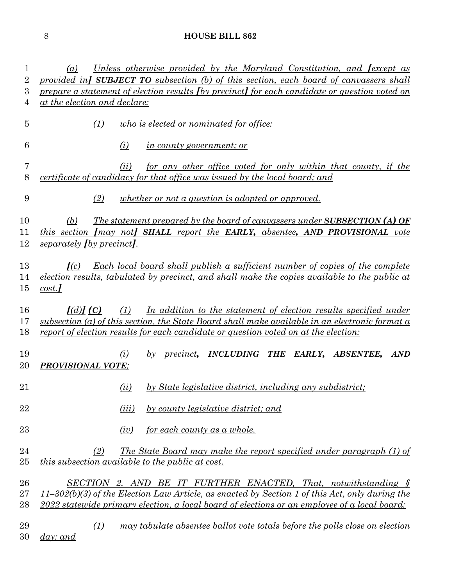| 1              | Unless otherwise provided by the Maryland Constitution, and Jexcept as<br>(a)                                                                                |  |  |  |  |  |
|----------------|--------------------------------------------------------------------------------------------------------------------------------------------------------------|--|--|--|--|--|
| $\overline{2}$ | provided in SUBJECT TO subsection (b) of this section, each board of canvassers shall                                                                        |  |  |  |  |  |
| 3              | prepare a statement of election results (by precinct) for each candidate or question voted on<br>at the election and declare:                                |  |  |  |  |  |
| 4              |                                                                                                                                                              |  |  |  |  |  |
| $\overline{5}$ | who is elected or nominated for office:<br>(1)                                                                                                               |  |  |  |  |  |
| 6              | (i)<br><i>in county government; or</i>                                                                                                                       |  |  |  |  |  |
| 7<br>8         | for any other office voted for only within that county, if the<br>(ii)<br><i>certificate of candidacy for that office was issued by the local board; and</i> |  |  |  |  |  |
| 9              | (2)<br>whether <u>or not a question is adopted or approved</u> .                                                                                             |  |  |  |  |  |
| 10             | <u>The statement prepared by the board of canvassers under SUBSECTION (A) OF</u><br>(b)                                                                      |  |  |  |  |  |
| 11             | this section <i>[may not]</i> SHALL report the EARLY, absentee, AND PROVISIONAL vote                                                                         |  |  |  |  |  |
| 12             | separately <i>(by precinct)</i> .                                                                                                                            |  |  |  |  |  |
|                |                                                                                                                                                              |  |  |  |  |  |
| 13             | Each local board shall publish a sufficient number of copies of the complete<br>I(c)                                                                         |  |  |  |  |  |
| 14             | election results, tabulated by precinct, and shall make the copies available to the public at                                                                |  |  |  |  |  |
| 15             | cost.                                                                                                                                                        |  |  |  |  |  |
|                |                                                                                                                                                              |  |  |  |  |  |
| 16             | In addition to the statement of election results specified under<br>J(d)J(C)<br>(1)                                                                          |  |  |  |  |  |
| 17             | subsection (a) of this section, the State Board shall make available in an electronic format a                                                               |  |  |  |  |  |
| 18             | report of election results for each candidate or question voted on at the election:                                                                          |  |  |  |  |  |
| 19             | INCLUDING THE<br>(i)<br>EARLY. ABSENTEE.<br><b>AND</b><br>$b\gamma$<br><i>precinct</i> ,                                                                     |  |  |  |  |  |
| 20             | <b>PROVISIONAL VOTE:</b>                                                                                                                                     |  |  |  |  |  |
|                |                                                                                                                                                              |  |  |  |  |  |
| 21             | by State legislative district, including any subdistrict;<br>(ii)                                                                                            |  |  |  |  |  |
| 22             | by county legislative district; and<br>(iii)                                                                                                                 |  |  |  |  |  |
| $23\,$         | for each county as a whole.<br>(iv)                                                                                                                          |  |  |  |  |  |
| 24             | The State Board may make the report specified under paragraph (1) of<br>(2)                                                                                  |  |  |  |  |  |
| 25             | <i>this subsection available to the public at cost.</i>                                                                                                      |  |  |  |  |  |
|                |                                                                                                                                                              |  |  |  |  |  |
| 26             | SECTION 2. AND BE IT FURTHER ENACTED, That, notwithstanding $\S$                                                                                             |  |  |  |  |  |
| 27             | $11-302(b)(3)$ of the Election Law Article, as enacted by Section 1 of this Act, only during the                                                             |  |  |  |  |  |
| 28             | 2022 statewide primary election, a local board of elections or an employee of a local board:                                                                 |  |  |  |  |  |
| 29<br>30       | may tabulate absentee ballot vote totals before the polls close on election<br>(1)<br>$day$ ; and                                                            |  |  |  |  |  |
|                |                                                                                                                                                              |  |  |  |  |  |